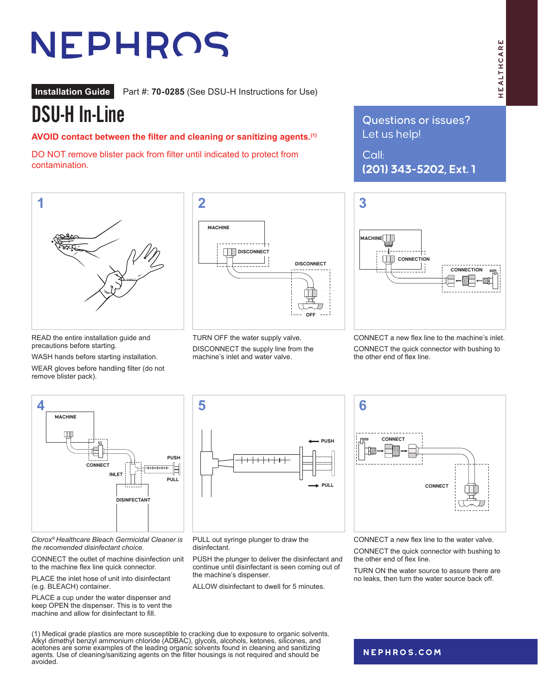# NEPHROS

**Installation Guide** Part #: **70-0285** (See DSU-H Instructions for Use)

## DSU-H In-Line

**AVOID contact between the filter and cleaning or sanitizing agents.(1)** 

DO NOT remove blister pack from filter until indicated to protect from contamination.



READ the entire installation guide and precautions before starting.

WASH hands before starting installation.

WEAR gloves before handling filter (do not remove blister pack).



TURN OFF the water supply valve. DISCONNECT the supply line from the machine's inlet and water valve.

Questions or issues? Let us help!

Call: **(201) 343-5202, Ext. 1**



CONNECT a new flex line to the machine's inlet. CONNECT the quick connector with bushing to the other end of flex line.



*Clorox® Healthcare Bleach Germicidal Cleaner is the recomended disinfectant choice.*

CONNECT the outlet of machine disinfection unit to the machine flex line quick connector.

PLACE the inlet hose of unit into disinfectant (e.g. BLEACH) container.

PLACE a cup under the water dispenser and keep OPEN the dispenser. This is to vent the machine and allow for disinfectant to fill.

avoided.

(1) Medical grade plastics are more susceptible to cracking due to exposure to organic solvents. Alkyl dimethyl benzyl ammonium chloride (ADBAC), glycols, alcohols, ketones, silicones, and acetones are some examples of the leading organic solvents found in cleaning and sanitizing agents. Use of cleaning/sanitizing agents on the filter housings is not required and should be



PULL out syringe plunger to draw the disinfectant.

PUSH the plunger to deliver the disinfectant and continue until disinfectant is seen coming out of the machine's dispenser.

ALLOW disinfectant to dwell for 5 minutes.



CONNECT a new flex line to the water valve.

CONNECT the quick connector with bushing to the other end of flex line.

TURN ON the water source to assure there are no leaks, then turn the water source back off.

#### **[nephros.com](https://www.nephros.com/)**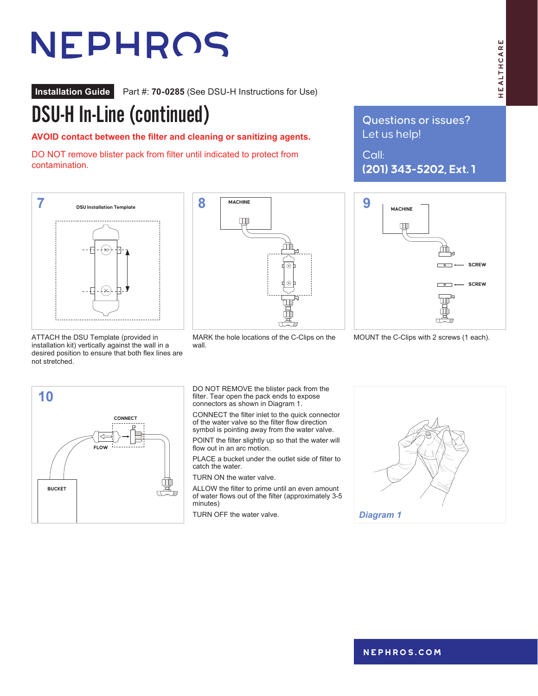# NEPHROS

**Installation Guide** Part #: **70-0285** (See DSU-H Instructions for Use)

## DSU-H In-Line (continued)

**AVOID contact between the filter and cleaning or sanitizing agents.**

DO NOT remove blister pack from filter until indicated to protect from contamination.



ATTACH the DSU Template (provided in installation kit) vertically against the wall in a desired position to ensure that both flex lines are not stretched.

**FLOW FLOW**

**CONNECT**

BUCKET **BUCKET**

**10**



MARK the hole locations of the C-Clips on the wall.

DO NOT REMOVE the blister pack from the filter. Tear open the pack ends to expose connectors as shown in Diagram 1.

CONNECT the filter inlet to the quick connector of the water valve so the filter flow direction symbol is pointing away from the water valve.

POINT the filter slightly up so that the water will flow out in an arc motion.

PLACE a bucket under the outlet side of filter to catch the water.

TURN ON the water valve.

ALLOW the filter to prime until an even amount of water flows out of the filter (approximately 3-5 minutes)

TURN OFF the water valve.



### Questions or issues? Let us help!

Call: **(201) 343-5202, Ext. 1**



MOUNT the C-Clips with 2 screws (1 each).